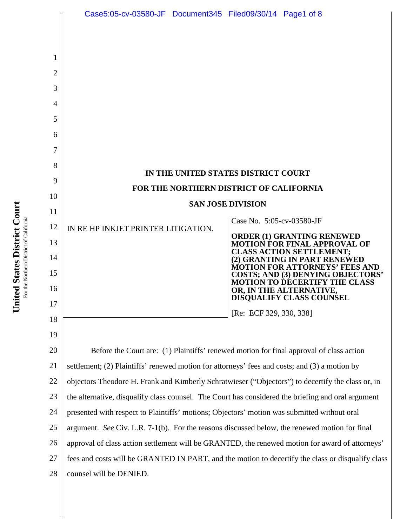|          | Case5:05-cv-03580-JF Document345 Filed09/30/14 Page1 of 8                                          |                           |                                                                                                             |  |
|----------|----------------------------------------------------------------------------------------------------|---------------------------|-------------------------------------------------------------------------------------------------------------|--|
|          |                                                                                                    |                           |                                                                                                             |  |
| 2        |                                                                                                    |                           |                                                                                                             |  |
| 3        |                                                                                                    |                           |                                                                                                             |  |
| 4        |                                                                                                    |                           |                                                                                                             |  |
| 5        |                                                                                                    |                           |                                                                                                             |  |
| 6        |                                                                                                    |                           |                                                                                                             |  |
|          |                                                                                                    |                           |                                                                                                             |  |
| 8        | IN THE UNITED STATES DISTRICT COURT                                                                |                           |                                                                                                             |  |
| 9        | FOR THE NORTHERN DISTRICT OF CALIFORNIA                                                            |                           |                                                                                                             |  |
| 10       | <b>SAN JOSE DIVISION</b>                                                                           |                           |                                                                                                             |  |
| 11       |                                                                                                    | Case No. 5:05-cv-03580-JF |                                                                                                             |  |
| 12       | IN RE HP INKJET PRINTER LITIGATION.                                                                |                           | ORDER (1) GRANTING RENEWED                                                                                  |  |
| 13       |                                                                                                    |                           | <b>MOTION FOR FINAL APPROVAL OF</b><br><b>CLASS ACTION SETTLEMENT;</b>                                      |  |
| 14       |                                                                                                    |                           | (2) GRANTING IN PART RENEWED<br><b>MOTION FOR ATTORNEYS' FEES AND</b>                                       |  |
| 15<br>16 |                                                                                                    |                           | <b>COSTS; AND (3) DENYING OBJECTORS'</b><br><b>MOTION TO DECERTIFY THE CLASS</b><br>OR, IN THE ALTERNATIVE, |  |
| 17       |                                                                                                    |                           | <b>DISQUALIFY CLASS COUNSEL</b>                                                                             |  |
| 18       |                                                                                                    | [Re: ECF 329, 330, 338]   |                                                                                                             |  |
| 19       |                                                                                                    |                           |                                                                                                             |  |
| 20       | Before the Court are: (1) Plaintiffs' renewed motion for final approval of class action            |                           |                                                                                                             |  |
| 21       | settlement; (2) Plaintiffs' renewed motion for attorneys' fees and costs; and (3) a motion by      |                           |                                                                                                             |  |
| 22       | objectors Theodore H. Frank and Kimberly Schratwieser ("Objectors") to decertify the class or, in  |                           |                                                                                                             |  |
| 23       | the alternative, disqualify class counsel. The Court has considered the briefing and oral argument |                           |                                                                                                             |  |
| 24       | presented with respect to Plaintiffs' motions; Objectors' motion was submitted without oral        |                           |                                                                                                             |  |
| 25       | argument. See Civ. L.R. 7-1(b). For the reasons discussed below, the renewed motion for final      |                           |                                                                                                             |  |
| 26       | approval of class action settlement will be GRANTED, the renewed motion for award of attorneys'    |                           |                                                                                                             |  |
| 27       | fees and costs will be GRANTED IN PART, and the motion to decertify the class or disqualify class  |                           |                                                                                                             |  |
| 28       | counsel will be DENIED.                                                                            |                           |                                                                                                             |  |
|          |                                                                                                    |                           |                                                                                                             |  |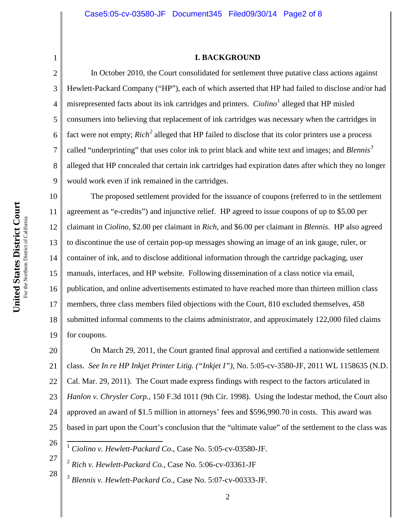#### **I. BACKGROUND**

3 4 5 6 7 8 9 10 11 12 13 14

1

2

In October 2010, the Court consolidated for settlement three putative class actions against Hewlett-Packard Company ("HP"), each of which asserted that HP had failed to disclose and/or had misrepresented facts about its ink cartridges and printers. *Ciolino*<sup>1</sup> alleged that HP misled consumers into believing that replacement of ink cartridges was necessary when the cartridges in fact were not empty; *Rich<sup>2</sup>* alleged that HP failed to disclose that its color printers use a process called "underprinting" that uses color ink to print black and white text and images; and *Blennis<sup>3</sup>* alleged that HP concealed that certain ink cartridges had expiration dates after which they no longer would work even if ink remained in the cartridges.

15 16 17 18 19 The proposed settlement provided for the issuance of coupons (referred to in the settlement agreement as "e-credits") and injunctive relief. HP agreed to issue coupons of up to \$5.00 per claimant in *Ciolino*, \$2.00 per claimant in *Rich*, and \$6.00 per claimant in *Blennis*. HP also agreed to discontinue the use of certain pop-up messages showing an image of an ink gauge, ruler, or container of ink, and to disclose additional information through the cartridge packaging, user manuals, interfaces, and HP website. Following dissemination of a class notice via email, publication, and online advertisements estimated to have reached more than thirteen million class members, three class members filed objections with the Court, 810 excluded themselves, 458 submitted informal comments to the claims administrator, and approximately 122,000 filed claims for coupons.

20 21 22 23 24 25 On March 29, 2011, the Court granted final approval and certified a nationwide settlement class. *See In re HP Inkjet Printer Litig. ("Inkjet I")*, No. 5:05-cv-3580-JF, 2011 WL 1158635 (N.D. Cal. Mar. 29, 2011). The Court made express findings with respect to the factors articulated in *Hanlon v. Chrysler Corp.*, 150 F.3d 1011 (9th Cir. 1998). Using the lodestar method, the Court also approved an award of \$1.5 million in attorneys' fees and \$596,990.70 in costs. This award was based in part upon the Court's conclusion that the "ultimate value" of the settlement to the class was

<sup>26</sup>

 <sup>1</sup> *Ciolino v. Hewlett-Packard Co.*, Case No. 5:05-cv-03580-JF.

<sup>27</sup> <sup>2</sup> *Rich v. Hewlett-Packard Co.*, Case No. 5:06-cv-03361-JF

<sup>3</sup> *Blennis v. Hewlett-Packard Co.*, Case No. 5:07-cv-00333-JF.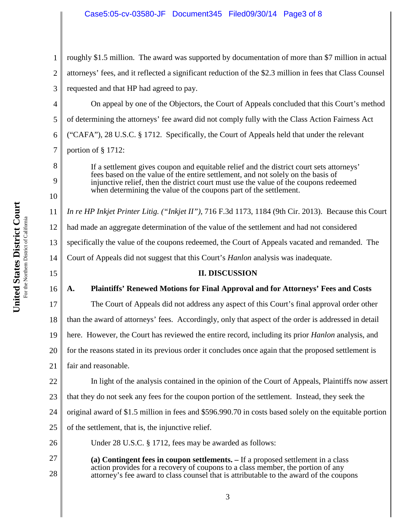## Case5:05-cv-03580-JF Document345 Filed09/30/14 Page3 of 8

1 2 3 roughly \$1.5 million. The award was supported by documentation of more than \$7 million in actual attorneys' fees, and it reflected a significant reduction of the \$2.3 million in fees that Class Counsel requested and that HP had agreed to pay.

4 5 6 7 On appeal by one of the Objectors, the Court of Appeals concluded that this Court's method of determining the attorneys' fee award did not comply fully with the Class Action Fairness Act ("CAFA"), 28 U.S.C. § 1712. Specifically, the Court of Appeals held that under the relevant portion of § 1712:

If a settlement gives coupon and equitable relief and the district court sets attorneys' fees based on the value of the entire settlement, and not solely on the basis of injunctive relief, then the district court must use the value of the coupons redeemed when determining the value of the coupons part of the settlement.

11 12 13 14 *In re HP Inkjet Printer Litig. ("Inkjet II")*, 716 F.3d 1173, 1184 (9th Cir. 2013). Because this Court had made an aggregate determination of the value of the settlement and had not considered specifically the value of the coupons redeemed, the Court of Appeals vacated and remanded. The Court of Appeals did not suggest that this Court's *Hanlon* analysis was inadequate.

## **II. DISCUSSION**

# **A. Plaintiffs' Renewed Motions for Final Approval and for Attorneys' Fees and Costs**

The Court of Appeals did not address any aspect of this Court's final approval order other

18 than the award of attorneys' fees. Accordingly, only that aspect of the order is addressed in detail

19 here. However, the Court has reviewed the entire record, including its prior *Hanlon* analysis, and

20 for the reasons stated in its previous order it concludes once again that the proposed settlement is

21 fair and reasonable.

In light of the analysis contained in the opinion of the Court of Appeals, Plaintiffs now assert

23 that they do not seek any fees for the coupon portion of the settlement. Instead, they seek the

24 original award of \$1.5 million in fees and \$596.990.70 in costs based solely on the equitable portion

25 of the settlement, that is, the injunctive relief.

26 Under 28 U.S.C. § 1712, fees may be awarded as follows:

27 28 **(a) Contingent fees in coupon settlements. –** If a proposed settlement in a class action provides for a recovery of coupons to a class member, the portion of any attorney's fee award to class counsel that is attributable to the award of the coupons

8

9

10

15

16

17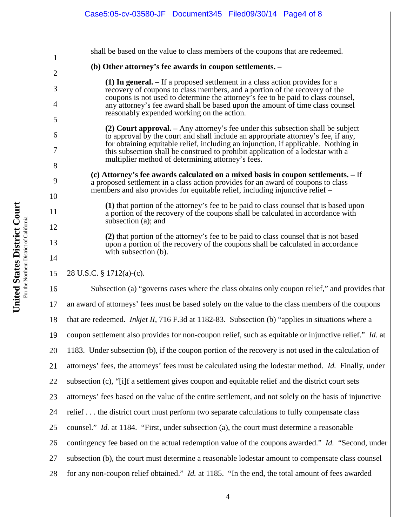|                     | Case5:05-cv-03580-JF Document345 Filed09/30/14 Page4 of 8                                                                                                                                                                                                                                     |  |  |  |  |
|---------------------|-----------------------------------------------------------------------------------------------------------------------------------------------------------------------------------------------------------------------------------------------------------------------------------------------|--|--|--|--|
| 1                   | shall be based on the value to class members of the coupons that are redeemed.                                                                                                                                                                                                                |  |  |  |  |
|                     | (b) Other attorney's fee awards in coupon settlements. –                                                                                                                                                                                                                                      |  |  |  |  |
| $\overline{c}$<br>3 | (1) In general. – If a proposed settlement in a class action provides for a                                                                                                                                                                                                                   |  |  |  |  |
| 4                   | recovery of coupons to class members, and a portion of the recovery of the<br>coupons is not used to determine the attorney's fee to be paid to class counsel,<br>any attorney's fee award shall be based upon the amount of time class counsel<br>reasonably expended working on the action. |  |  |  |  |
| 5                   | (2) Court approval. – Any attorney's fee under this subsection shall be subject                                                                                                                                                                                                               |  |  |  |  |
| 6<br>7              | to approval by the court and shall include an appropriate attorney's fee, if any,<br>for obtaining equitable relief, including an injunction, if applicable. Nothing in<br>this subsection shall be construed to prohibit application of a lodestar with a                                    |  |  |  |  |
| 8                   | multiplier method of determining attorney's fees.                                                                                                                                                                                                                                             |  |  |  |  |
| 9                   | (c) Attorney's fee awards calculated on a mixed basis in coupon settlements. – If<br>a proposed settlement in a class action provides for an award of coupons to class<br>members and also provides for equitable relief, including injunctive relief –                                       |  |  |  |  |
| 10<br>11            | (1) that portion of the attorney's fee to be paid to class counsel that is based upon<br>a portion of the recovery of the coupons shall be calculated in accordance with                                                                                                                      |  |  |  |  |
| 12                  | subsection (a); and                                                                                                                                                                                                                                                                           |  |  |  |  |
| 13<br>14            | (2) that portion of the attorney's fee to be paid to class counsel that is not based<br>upon a portion of the recovery of the coupons shall be calculated in accordance<br>with subsection (b).                                                                                               |  |  |  |  |
| 15                  | 28 U.S.C. § 1712(a)-(c).                                                                                                                                                                                                                                                                      |  |  |  |  |
|                     |                                                                                                                                                                                                                                                                                               |  |  |  |  |
| 16                  | Subsection (a) "governs cases where the class obtains only coupon relief," and provides that                                                                                                                                                                                                  |  |  |  |  |
| 17                  | an award of attorneys' fees must be based solely on the value to the class members of the coupons                                                                                                                                                                                             |  |  |  |  |
| 18                  | that are redeemed. <i>Inkjet II</i> , 716 F.3d at 1182-83. Subsection (b) "applies in situations where a                                                                                                                                                                                      |  |  |  |  |
| 19                  | coupon settlement also provides for non-coupon relief, such as equitable or injunctive relief." Id. at                                                                                                                                                                                        |  |  |  |  |
| 20                  | 1183. Under subsection (b), if the coupon portion of the recovery is not used in the calculation of                                                                                                                                                                                           |  |  |  |  |
| 21                  | attorneys' fees, the attorneys' fees must be calculated using the lodestar method. Id. Finally, under                                                                                                                                                                                         |  |  |  |  |
| 22                  | subsection (c), "[i]f a settlement gives coupon and equitable relief and the district court sets                                                                                                                                                                                              |  |  |  |  |
| 23                  | attorneys' fees based on the value of the entire settlement, and not solely on the basis of injunctive                                                                                                                                                                                        |  |  |  |  |
| 24                  | relief the district court must perform two separate calculations to fully compensate class                                                                                                                                                                                                    |  |  |  |  |
| 25                  | counsel." <i>Id.</i> at 1184. "First, under subsection (a), the court must determine a reasonable                                                                                                                                                                                             |  |  |  |  |
| 26                  | contingency fee based on the actual redemption value of the coupons awarded." Id. "Second, under                                                                                                                                                                                              |  |  |  |  |
| 27                  | subsection (b), the court must determine a reasonable lodestar amount to compensate class counsel                                                                                                                                                                                             |  |  |  |  |
| 28                  | for any non-coupon relief obtained." <i>Id.</i> at 1185. "In the end, the total amount of fees awarded                                                                                                                                                                                        |  |  |  |  |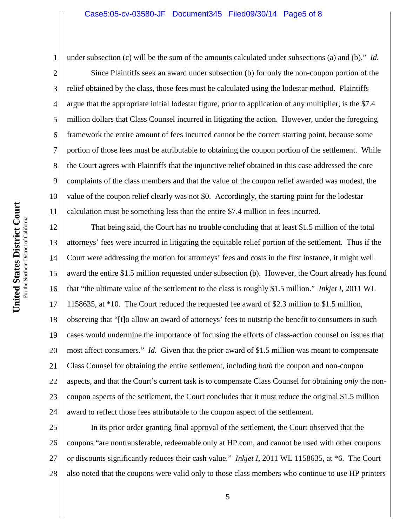1 2 3 4 5 6 7 8 9 10 11 under subsection (c) will be the sum of the amounts calculated under subsections (a) and (b)." *Id.* Since Plaintiffs seek an award under subsection (b) for only the non-coupon portion of the relief obtained by the class, those fees must be calculated using the lodestar method. Plaintiffs argue that the appropriate initial lodestar figure, prior to application of any multiplier, is the \$7.4 million dollars that Class Counsel incurred in litigating the action. However, under the foregoing framework the entire amount of fees incurred cannot be the correct starting point, because some portion of those fees must be attributable to obtaining the coupon portion of the settlement. While the Court agrees with Plaintiffs that the injunctive relief obtained in this case addressed the core complaints of the class members and that the value of the coupon relief awarded was modest, the value of the coupon relief clearly was not \$0. Accordingly, the starting point for the lodestar calculation must be something less than the entire \$7.4 million in fees incurred.

12 13 14 15 16 17 18 19 20 21 22 23 24 That being said, the Court has no trouble concluding that at least \$1.5 million of the total attorneys' fees were incurred in litigating the equitable relief portion of the settlement. Thus if the Court were addressing the motion for attorneys' fees and costs in the first instance, it might well award the entire \$1.5 million requested under subsection (b). However, the Court already has found that "the ultimate value of the settlement to the class is roughly \$1.5 million." *Inkjet I*, 2011 WL 1158635, at \*10. The Court reduced the requested fee award of \$2.3 million to \$1.5 million, observing that "[t]o allow an award of attorneys' fees to outstrip the benefit to consumers in such cases would undermine the importance of focusing the efforts of class-action counsel on issues that most affect consumers." *Id.* Given that the prior award of \$1.5 million was meant to compensate Class Counsel for obtaining the entire settlement, including *both* the coupon and non-coupon aspects, and that the Court's current task is to compensate Class Counsel for obtaining *only* the noncoupon aspects of the settlement, the Court concludes that it must reduce the original \$1.5 million award to reflect those fees attributable to the coupon aspect of the settlement.

25 26 27 28 In its prior order granting final approval of the settlement, the Court observed that the coupons "are nontransferable, redeemable only at HP.com, and cannot be used with other coupons or discounts significantly reduces their cash value." *Inkjet I*, 2011 WL 1158635, at \*6. The Court also noted that the coupons were valid only to those class members who continue to use HP printers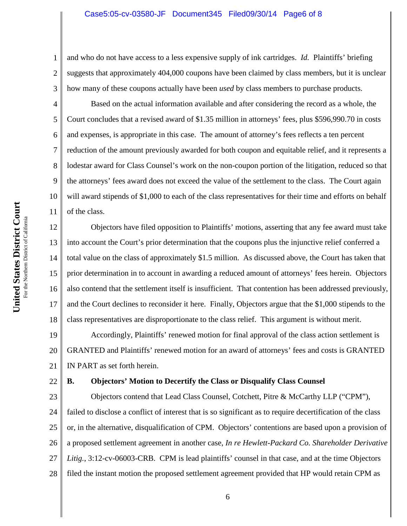1 2 3 and who do not have access to a less expensive supply of ink cartridges. *Id.* Plaintiffs' briefing suggests that approximately 404,000 coupons have been claimed by class members, but it is unclear how many of these coupons actually have been *used* by class members to purchase products.

Based on the actual information available and after considering the record as a whole, the Court concludes that a revised award of \$1.35 million in attorneys' fees, plus \$596,990.70 in costs and expenses, is appropriate in this case. The amount of attorney's fees reflects a ten percent reduction of the amount previously awarded for both coupon and equitable relief, and it represents a lodestar award for Class Counsel's work on the non-coupon portion of the litigation, reduced so that the attorneys' fees award does not exceed the value of the settlement to the class. The Court again will award stipends of \$1,000 to each of the class representatives for their time and efforts on behalf of the class.

12 13 14 15 16 17 18 Objectors have filed opposition to Plaintiffs' motions, asserting that any fee award must take into account the Court's prior determination that the coupons plus the injunctive relief conferred a total value on the class of approximately \$1.5 million. As discussed above, the Court has taken that prior determination in to account in awarding a reduced amount of attorneys' fees herein. Objectors also contend that the settlement itself is insufficient. That contention has been addressed previously, and the Court declines to reconsider it here. Finally, Objectors argue that the \$1,000 stipends to the class representatives are disproportionate to the class relief. This argument is without merit.

19 20 21 Accordingly, Plaintiffs' renewed motion for final approval of the class action settlement is GRANTED and Plaintiffs' renewed motion for an award of attorneys' fees and costs is GRANTED IN PART as set forth herein.

#### 22 **B. Objectors' Motion to Decertify the Class or Disqualify Class Counsel**

23 24 25 26 27 28 Objectors contend that Lead Class Counsel, Cotchett, Pitre & McCarthy LLP ("CPM"), failed to disclose a conflict of interest that is so significant as to require decertification of the class or, in the alternative, disqualification of CPM. Objectors' contentions are based upon a provision of a proposed settlement agreement in another case, *In re Hewlett-Packard Co. Shareholder Derivative Litig.*, 3:12-cv-06003-CRB. CPM is lead plaintiffs' counsel in that case, and at the time Objectors filed the instant motion the proposed settlement agreement provided that HP would retain CPM as

4

5

6

7

8

9

10

11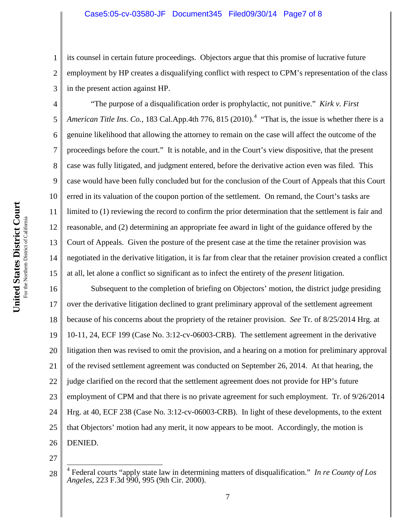1 2 3 its counsel in certain future proceedings. Objectors argue that this promise of lucrative future employment by HP creates a disqualifying conflict with respect to CPM's representation of the class in the present action against HP.

4 5 6 7 8 9 10 11 12 13 14 15 "The purpose of a disqualification order is prophylactic, not punitive." *Kirk v. First American Title Ins. Co.*, 183 Cal.App.4th 776, 815 (2010).<sup>4</sup> "That is, the issue is whether there is a genuine likelihood that allowing the attorney to remain on the case will affect the outcome of the proceedings before the court." It is notable, and in the Court's view dispositive, that the present case was fully litigated, and judgment entered, before the derivative action even was filed. This case would have been fully concluded but for the conclusion of the Court of Appeals that this Court erred in its valuation of the coupon portion of the settlement. On remand, the Court's tasks are limited to (1) reviewing the record to confirm the prior determination that the settlement is fair and reasonable, and (2) determining an appropriate fee award in light of the guidance offered by the Court of Appeals. Given the posture of the present case at the time the retainer provision was negotiated in the derivative litigation, it is far from clear that the retainer provision created a conflict at all, let alone a conflict so significant as to infect the entirety of the *present* litigation.

16 17 18 19 20 21 22 23 24 25 26 Subsequent to the completion of briefing on Objectors' motion, the district judge presiding over the derivative litigation declined to grant preliminary approval of the settlement agreement because of his concerns about the propriety of the retainer provision. *See* Tr. of 8/25/2014 Hrg. at 10-11, 24, ECF 199 (Case No. 3:12-cv-06003-CRB). The settlement agreement in the derivative litigation then was revised to omit the provision, and a hearing on a motion for preliminary approval of the revised settlement agreement was conducted on September 26, 2014. At that hearing, the judge clarified on the record that the settlement agreement does not provide for HP's future employment of CPM and that there is no private agreement for such employment. Tr. of 9/26/2014 Hrg. at 40, ECF 238 (Case No. 3:12-cv-06003-CRB). In light of these developments, to the extent that Objectors' motion had any merit, it now appears to be moot. Accordingly, the motion is DENIED.

<sup>28</sup> 4 Federal courts "apply state law in determining matters of disqualification." *In re County of Los Angeles*, 223 F.3d 990, 995 (9th Cir. 2000).